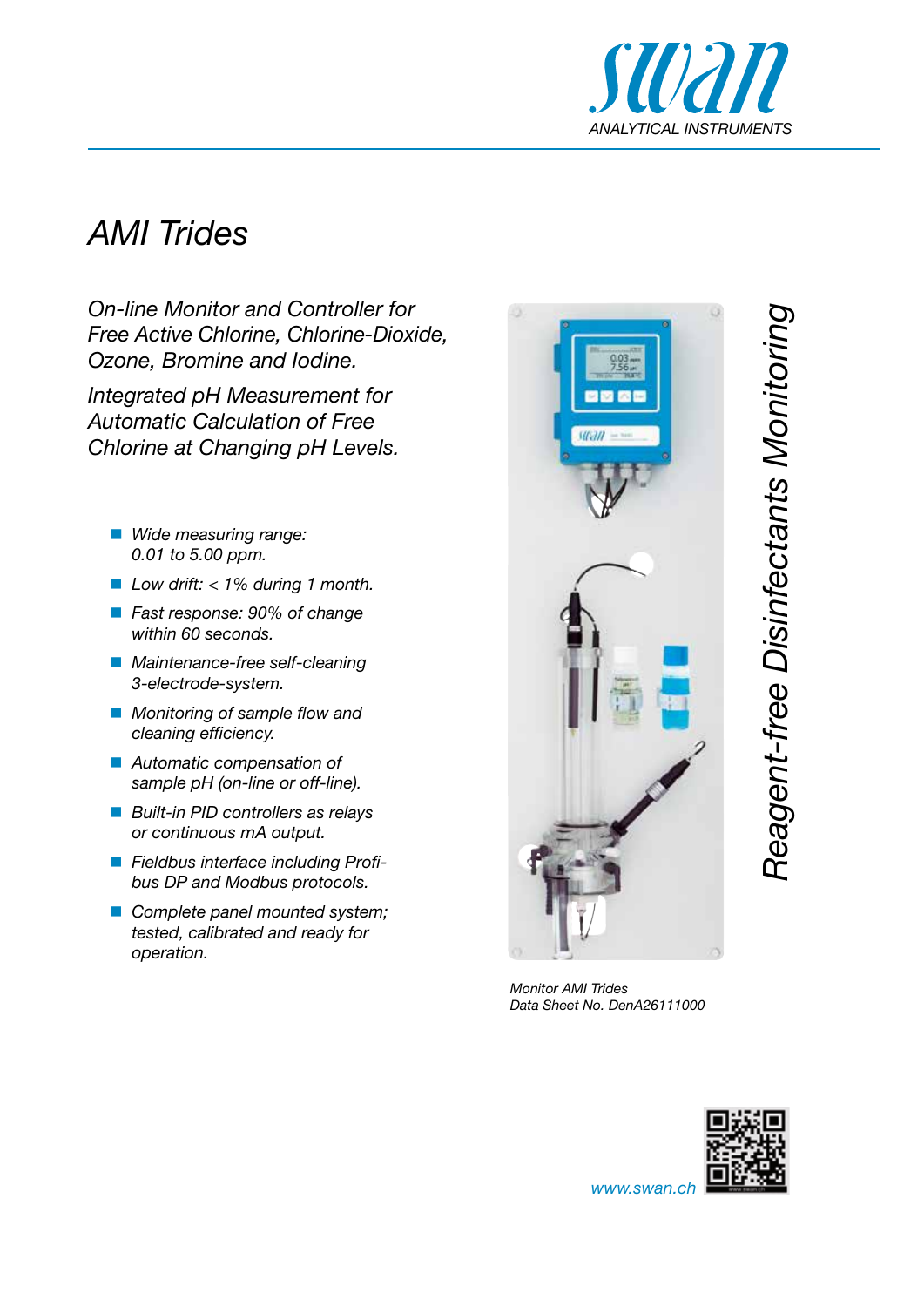

## *AMI Trides*

*On-line Monitor and Controller for Free Active Chlorine, Chlorine-Dioxide, Ozone, Bromine and Iodine.*

*Integrated pH Measurement for Automatic Calculation of Free Chlorine at Changing pH Levels.*

- *Wide measuring range: 0.01 to 5.00 ppm.*
- *Low drift: < 1% during 1 month.*
- *Fast response: 90% of change within 60 seconds.*
- *Maintenance-free self-cleaning 3-electrode-system.*
- *Monitoring of sample flow and cleaning efficiency.*
- *Automatic compensation of sample pH (on-line or off-line).*
- *Built-in PID controllers as relays or continuous mA output.*
- *Fieldbus interface including Profibus DP and Modbus protocols.*
- *Complete panel mounted system; tested, calibrated and ready for operation.*



*Monitor AMI Trides Data Sheet No. DenA26111000*



*Reagent-free Disinfectants Monitoring*

Reagent-free Disinfectants Monitoring

*www.swan.ch*